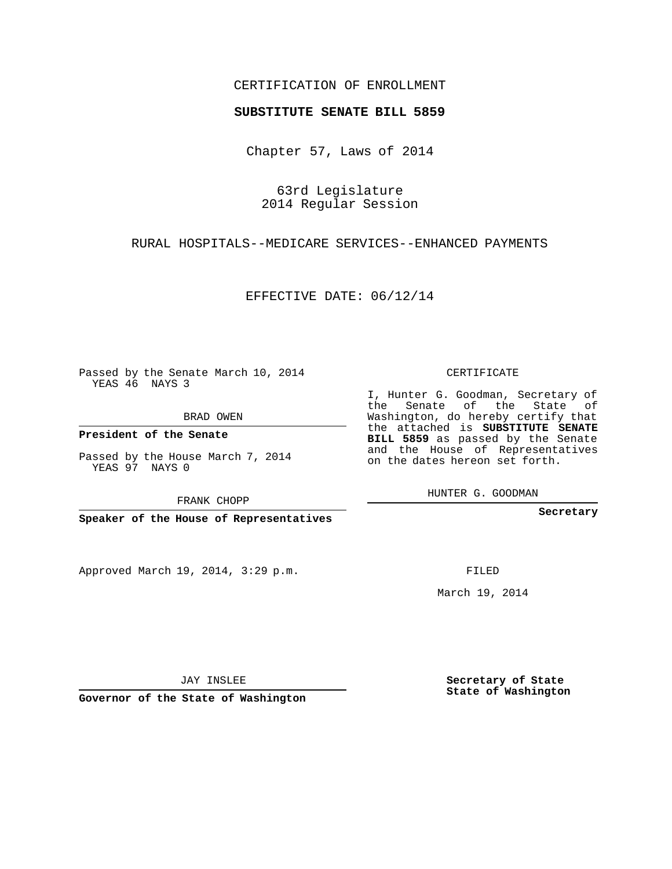## CERTIFICATION OF ENROLLMENT

#### **SUBSTITUTE SENATE BILL 5859**

Chapter 57, Laws of 2014

63rd Legislature 2014 Regular Session

RURAL HOSPITALS--MEDICARE SERVICES--ENHANCED PAYMENTS

EFFECTIVE DATE: 06/12/14

Passed by the Senate March 10, 2014 YEAS 46 NAYS 3

BRAD OWEN

**President of the Senate**

Passed by the House March 7, 2014 YEAS 97 NAYS 0

FRANK CHOPP

**Speaker of the House of Representatives**

Approved March 19, 2014, 3:29 p.m.

CERTIFICATE

I, Hunter G. Goodman, Secretary of the Senate of the State of Washington, do hereby certify that the attached is **SUBSTITUTE SENATE BILL 5859** as passed by the Senate and the House of Representatives on the dates hereon set forth.

HUNTER G. GOODMAN

**Secretary**

FILED

March 19, 2014

**Secretary of State State of Washington**

JAY INSLEE

**Governor of the State of Washington**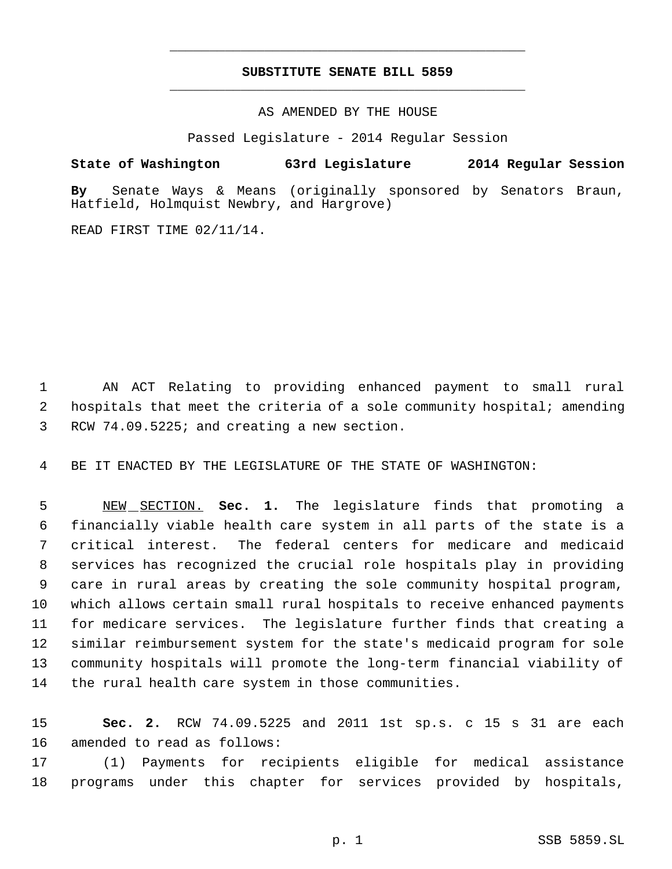# **SUBSTITUTE SENATE BILL 5859** \_\_\_\_\_\_\_\_\_\_\_\_\_\_\_\_\_\_\_\_\_\_\_\_\_\_\_\_\_\_\_\_\_\_\_\_\_\_\_\_\_\_\_\_\_

\_\_\_\_\_\_\_\_\_\_\_\_\_\_\_\_\_\_\_\_\_\_\_\_\_\_\_\_\_\_\_\_\_\_\_\_\_\_\_\_\_\_\_\_\_

AS AMENDED BY THE HOUSE

Passed Legislature - 2014 Regular Session

### **State of Washington 63rd Legislature 2014 Regular Session**

**By** Senate Ways & Means (originally sponsored by Senators Braun, Hatfield, Holmquist Newbry, and Hargrove)

READ FIRST TIME 02/11/14.

 AN ACT Relating to providing enhanced payment to small rural hospitals that meet the criteria of a sole community hospital; amending RCW 74.09.5225; and creating a new section.

BE IT ENACTED BY THE LEGISLATURE OF THE STATE OF WASHINGTON:

 NEW SECTION. **Sec. 1.** The legislature finds that promoting a financially viable health care system in all parts of the state is a critical interest. The federal centers for medicare and medicaid services has recognized the crucial role hospitals play in providing care in rural areas by creating the sole community hospital program, which allows certain small rural hospitals to receive enhanced payments for medicare services. The legislature further finds that creating a similar reimbursement system for the state's medicaid program for sole community hospitals will promote the long-term financial viability of the rural health care system in those communities.

 **Sec. 2.** RCW 74.09.5225 and 2011 1st sp.s. c 15 s 31 are each amended to read as follows:

 (1) Payments for recipients eligible for medical assistance programs under this chapter for services provided by hospitals,